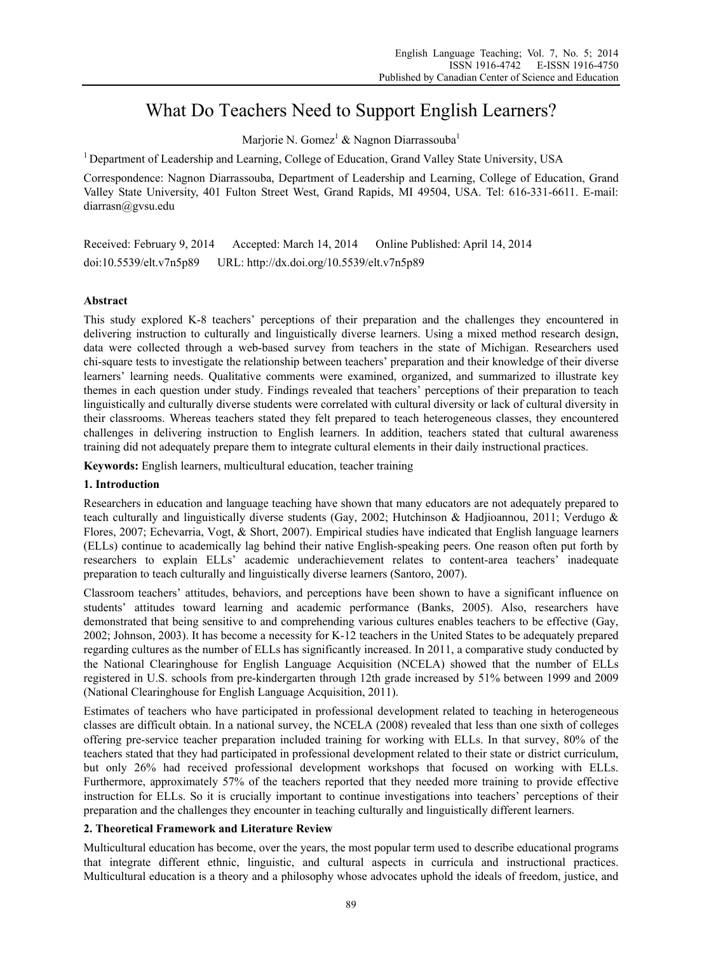# What Do Teachers Need to Support English Learners?

Marjorie N. Gomez $^1$  & Nagnon Diarrassouba $^1$ 

<sup>1</sup> Department of Leadership and Learning, College of Education, Grand Valley State University, USA

Correspondence: Nagnon Diarrassouba, Department of Leadership and Learning, College of Education, Grand Valley State University, 401 Fulton Street West, Grand Rapids, MI 49504, USA. Tel: 616-331-6611. E-mail: diarrasn@gvsu.edu

Received: February 9, 2014 Accepted: March 14, 2014 Online Published: April 14, 2014 doi:10.5539/elt.v7n5p89 URL: http://dx.doi.org/10.5539/elt.v7n5p89

## **Abstract**

This study explored K-8 teachers' perceptions of their preparation and the challenges they encountered in delivering instruction to culturally and linguistically diverse learners. Using a mixed method research design, data were collected through a web-based survey from teachers in the state of Michigan. Researchers used chi-square tests to investigate the relationship between teachers' preparation and their knowledge of their diverse learners' learning needs. Qualitative comments were examined, organized, and summarized to illustrate key themes in each question under study. Findings revealed that teachers' perceptions of their preparation to teach linguistically and culturally diverse students were correlated with cultural diversity or lack of cultural diversity in their classrooms. Whereas teachers stated they felt prepared to teach heterogeneous classes, they encountered challenges in delivering instruction to English learners. In addition, teachers stated that cultural awareness training did not adequately prepare them to integrate cultural elements in their daily instructional practices.

**Keywords:** English learners, multicultural education, teacher training

## **1. Introduction**

Researchers in education and language teaching have shown that many educators are not adequately prepared to teach culturally and linguistically diverse students (Gay, 2002; Hutchinson & Hadjioannou, 2011; Verdugo & Flores, 2007; Echevarria, Vogt, & Short, 2007). Empirical studies have indicated that English language learners (ELLs) continue to academically lag behind their native English-speaking peers. One reason often put forth by researchers to explain ELLs' academic underachievement relates to content-area teachers' inadequate preparation to teach culturally and linguistically diverse learners (Santoro, 2007).

Classroom teachers' attitudes, behaviors, and perceptions have been shown to have a significant influence on students' attitudes toward learning and academic performance (Banks, 2005). Also, researchers have demonstrated that being sensitive to and comprehending various cultures enables teachers to be effective (Gay, 2002; Johnson, 2003). It has become a necessity for K-12 teachers in the United States to be adequately prepared regarding cultures as the number of ELLs has significantly increased. In 2011, a comparative study conducted by the National Clearinghouse for English Language Acquisition (NCELA) showed that the number of ELLs registered in U.S. schools from pre-kindergarten through 12th grade increased by 51% between 1999 and 2009 (National Clearinghouse for English Language Acquisition, 2011).

Estimates of teachers who have participated in professional development related to teaching in heterogeneous classes are difficult obtain. In a national survey, the NCELA (2008) revealed that less than one sixth of colleges offering pre-service teacher preparation included training for working with ELLs. In that survey, 80% of the teachers stated that they had participated in professional development related to their state or district curriculum, but only 26% had received professional development workshops that focused on working with ELLs. Furthermore, approximately 57% of the teachers reported that they needed more training to provide effective instruction for ELLs. So it is crucially important to continue investigations into teachers' perceptions of their preparation and the challenges they encounter in teaching culturally and linguistically different learners.

## **2. Theoretical Framework and Literature Review**

Multicultural education has become, over the years, the most popular term used to describe educational programs that integrate different ethnic, linguistic, and cultural aspects in curricula and instructional practices. Multicultural education is a theory and a philosophy whose advocates uphold the ideals of freedom, justice, and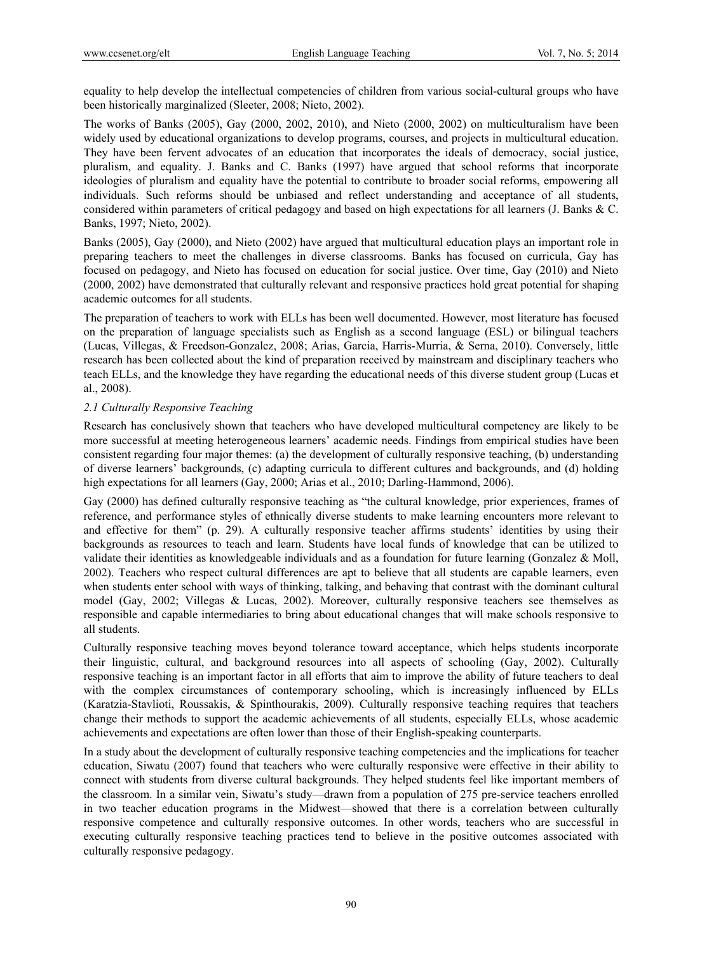equality to help develop the intellectual competencies of children from various social-cultural groups who have been historically marginalized (Sleeter, 2008; Nieto, 2002).

The works of Banks (2005), Gay (2000, 2002, 2010), and Nieto (2000, 2002) on multiculturalism have been widely used by educational organizations to develop programs, courses, and projects in multicultural education. They have been fervent advocates of an education that incorporates the ideals of democracy, social justice, pluralism, and equality. J. Banks and C. Banks (1997) have argued that school reforms that incorporate ideologies of pluralism and equality have the potential to contribute to broader social reforms, empowering all individuals. Such reforms should be unbiased and reflect understanding and acceptance of all students, considered within parameters of critical pedagogy and based on high expectations for all learners (J. Banks & C. Banks, 1997; Nieto, 2002).

Banks (2005), Gay (2000), and Nieto (2002) have argued that multicultural education plays an important role in preparing teachers to meet the challenges in diverse classrooms. Banks has focused on curricula, Gay has focused on pedagogy, and Nieto has focused on education for social justice. Over time, Gay (2010) and Nieto (2000, 2002) have demonstrated that culturally relevant and responsive practices hold great potential for shaping academic outcomes for all students.

The preparation of teachers to work with ELLs has been well documented. However, most literature has focused on the preparation of language specialists such as English as a second language (ESL) or bilingual teachers (Lucas, Villegas, & Freedson-Gonzalez, 2008; Arias, Garcia, Harris-Murria, & Serna, 2010). Conversely, little research has been collected about the kind of preparation received by mainstream and disciplinary teachers who teach ELLs, and the knowledge they have regarding the educational needs of this diverse student group (Lucas et al., 2008).

## *2.1 Culturally Responsive Teaching*

Research has conclusively shown that teachers who have developed multicultural competency are likely to be more successful at meeting heterogeneous learners' academic needs. Findings from empirical studies have been consistent regarding four major themes: (a) the development of culturally responsive teaching, (b) understanding of diverse learners' backgrounds, (c) adapting curricula to different cultures and backgrounds, and (d) holding high expectations for all learners (Gay, 2000; Arias et al., 2010; Darling-Hammond, 2006).

Gay (2000) has defined culturally responsive teaching as "the cultural knowledge, prior experiences, frames of reference, and performance styles of ethnically diverse students to make learning encounters more relevant to and effective for them" (p. 29). A culturally responsive teacher affirms students' identities by using their backgrounds as resources to teach and learn. Students have local funds of knowledge that can be utilized to validate their identities as knowledgeable individuals and as a foundation for future learning (Gonzalez & Moll, 2002). Teachers who respect cultural differences are apt to believe that all students are capable learners, even when students enter school with ways of thinking, talking, and behaving that contrast with the dominant cultural model (Gay, 2002; Villegas & Lucas, 2002). Moreover, culturally responsive teachers see themselves as responsible and capable intermediaries to bring about educational changes that will make schools responsive to all students.

Culturally responsive teaching moves beyond tolerance toward acceptance, which helps students incorporate their linguistic, cultural, and background resources into all aspects of schooling (Gay, 2002). Culturally responsive teaching is an important factor in all efforts that aim to improve the ability of future teachers to deal with the complex circumstances of contemporary schooling, which is increasingly influenced by ELLs (Karatzia-Stavlioti, Roussakis, & Spinthourakis, 2009). Culturally responsive teaching requires that teachers change their methods to support the academic achievements of all students, especially ELLs, whose academic achievements and expectations are often lower than those of their English-speaking counterparts.

In a study about the development of culturally responsive teaching competencies and the implications for teacher education, Siwatu (2007) found that teachers who were culturally responsive were effective in their ability to connect with students from diverse cultural backgrounds. They helped students feel like important members of the classroom. In a similar vein, Siwatu's study—drawn from a population of 275 pre-service teachers enrolled in two teacher education programs in the Midwest—showed that there is a correlation between culturally responsive competence and culturally responsive outcomes. In other words, teachers who are successful in executing culturally responsive teaching practices tend to believe in the positive outcomes associated with culturally responsive pedagogy.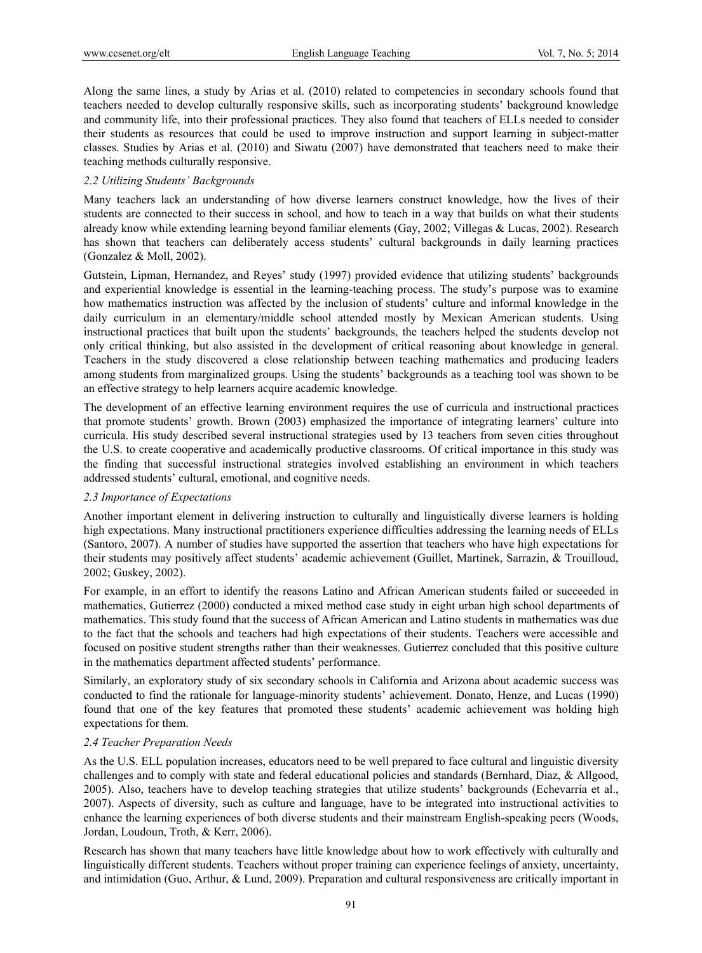Along the same lines, a study by Arias et al. (2010) related to competencies in secondary schools found that teachers needed to develop culturally responsive skills, such as incorporating students' background knowledge and community life, into their professional practices. They also found that teachers of ELLs needed to consider their students as resources that could be used to improve instruction and support learning in subject-matter classes. Studies by Arias et al. (2010) and Siwatu (2007) have demonstrated that teachers need to make their teaching methods culturally responsive.

## *2.2 Utilizing Students' Backgrounds*

Many teachers lack an understanding of how diverse learners construct knowledge, how the lives of their students are connected to their success in school, and how to teach in a way that builds on what their students already know while extending learning beyond familiar elements (Gay, 2002; Villegas & Lucas, 2002). Research has shown that teachers can deliberately access students' cultural backgrounds in daily learning practices (Gonzalez & Moll, 2002).

Gutstein, Lipman, Hernandez, and Reyes' study (1997) provided evidence that utilizing students' backgrounds and experiential knowledge is essential in the learning-teaching process. The study's purpose was to examine how mathematics instruction was affected by the inclusion of students' culture and informal knowledge in the daily curriculum in an elementary/middle school attended mostly by Mexican American students. Using instructional practices that built upon the students' backgrounds, the teachers helped the students develop not only critical thinking, but also assisted in the development of critical reasoning about knowledge in general. Teachers in the study discovered a close relationship between teaching mathematics and producing leaders among students from marginalized groups. Using the students' backgrounds as a teaching tool was shown to be an effective strategy to help learners acquire academic knowledge.

The development of an effective learning environment requires the use of curricula and instructional practices that promote students' growth. Brown (2003) emphasized the importance of integrating learners' culture into curricula. His study described several instructional strategies used by 13 teachers from seven cities throughout the U.S. to create cooperative and academically productive classrooms. Of critical importance in this study was the finding that successful instructional strategies involved establishing an environment in which teachers addressed students' cultural, emotional, and cognitive needs.

## *2.3 Importance of Expectations*

Another important element in delivering instruction to culturally and linguistically diverse learners is holding high expectations. Many instructional practitioners experience difficulties addressing the learning needs of ELLs (Santoro, 2007). A number of studies have supported the assertion that teachers who have high expectations for their students may positively affect students' academic achievement (Guillet, Martinek, Sarrazin, & Trouilloud, 2002; Guskey, 2002).

For example, in an effort to identify the reasons Latino and African American students failed or succeeded in mathematics, Gutierrez (2000) conducted a mixed method case study in eight urban high school departments of mathematics. This study found that the success of African American and Latino students in mathematics was due to the fact that the schools and teachers had high expectations of their students. Teachers were accessible and focused on positive student strengths rather than their weaknesses. Gutierrez concluded that this positive culture in the mathematics department affected students' performance.

Similarly, an exploratory study of six secondary schools in California and Arizona about academic success was conducted to find the rationale for language-minority students' achievement. Donato, Henze, and Lucas (1990) found that one of the key features that promoted these students' academic achievement was holding high expectations for them.

## *2.4 Teacher Preparation Needs*

As the U.S. ELL population increases, educators need to be well prepared to face cultural and linguistic diversity challenges and to comply with state and federal educational policies and standards (Bernhard, Diaz, & Allgood, 2005). Also, teachers have to develop teaching strategies that utilize students' backgrounds (Echevarria et al., 2007). Aspects of diversity, such as culture and language, have to be integrated into instructional activities to enhance the learning experiences of both diverse students and their mainstream English-speaking peers (Woods, Jordan, Loudoun, Troth, & Kerr, 2006).

Research has shown that many teachers have little knowledge about how to work effectively with culturally and linguistically different students. Teachers without proper training can experience feelings of anxiety, uncertainty, and intimidation (Guo, Arthur, & Lund, 2009). Preparation and cultural responsiveness are critically important in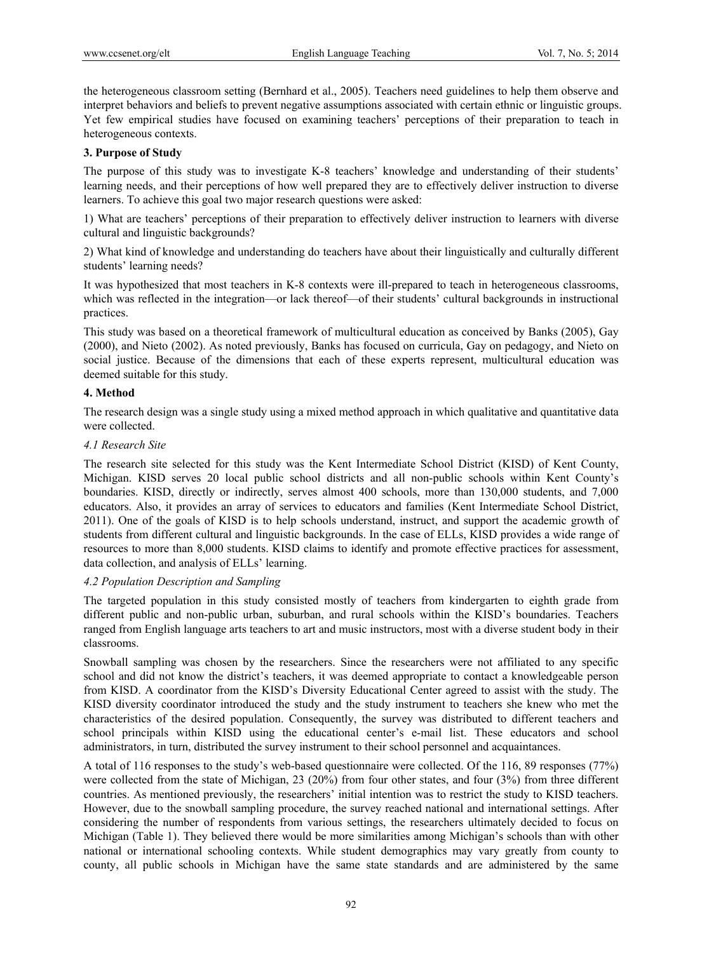the heterogeneous classroom setting (Bernhard et al., 2005). Teachers need guidelines to help them observe and interpret behaviors and beliefs to prevent negative assumptions associated with certain ethnic or linguistic groups. Yet few empirical studies have focused on examining teachers' perceptions of their preparation to teach in heterogeneous contexts.

## **3. Purpose of Study**

The purpose of this study was to investigate K-8 teachers' knowledge and understanding of their students' learning needs, and their perceptions of how well prepared they are to effectively deliver instruction to diverse learners. To achieve this goal two major research questions were asked:

1) What are teachers' perceptions of their preparation to effectively deliver instruction to learners with diverse cultural and linguistic backgrounds?

2) What kind of knowledge and understanding do teachers have about their linguistically and culturally different students' learning needs?

It was hypothesized that most teachers in K-8 contexts were ill-prepared to teach in heterogeneous classrooms, which was reflected in the integration—or lack thereof—of their students' cultural backgrounds in instructional practices.

This study was based on a theoretical framework of multicultural education as conceived by Banks (2005), Gay (2000), and Nieto (2002). As noted previously, Banks has focused on curricula, Gay on pedagogy, and Nieto on social justice. Because of the dimensions that each of these experts represent, multicultural education was deemed suitable for this study.

## **4. Method**

The research design was a single study using a mixed method approach in which qualitative and quantitative data were collected.

## *4.1 Research Site*

The research site selected for this study was the Kent Intermediate School District (KISD) of Kent County, Michigan. KISD serves 20 local public school districts and all non-public schools within Kent County's boundaries. KISD, directly or indirectly, serves almost 400 schools, more than 130,000 students, and 7,000 educators. Also, it provides an array of services to educators and families (Kent Intermediate School District, 2011). One of the goals of KISD is to help schools understand, instruct, and support the academic growth of students from different cultural and linguistic backgrounds. In the case of ELLs, KISD provides a wide range of resources to more than 8,000 students. KISD claims to identify and promote effective practices for assessment, data collection, and analysis of ELLs' learning.

## *4.2 Population Description and Sampling*

The targeted population in this study consisted mostly of teachers from kindergarten to eighth grade from different public and non-public urban, suburban, and rural schools within the KISD's boundaries. Teachers ranged from English language arts teachers to art and music instructors, most with a diverse student body in their classrooms.

Snowball sampling was chosen by the researchers. Since the researchers were not affiliated to any specific school and did not know the district's teachers, it was deemed appropriate to contact a knowledgeable person from KISD. A coordinator from the KISD's Diversity Educational Center agreed to assist with the study. The KISD diversity coordinator introduced the study and the study instrument to teachers she knew who met the characteristics of the desired population. Consequently, the survey was distributed to different teachers and school principals within KISD using the educational center's e-mail list. These educators and school administrators, in turn, distributed the survey instrument to their school personnel and acquaintances.

A total of 116 responses to the study's web-based questionnaire were collected. Of the 116, 89 responses (77%) were collected from the state of Michigan, 23 (20%) from four other states, and four (3%) from three different countries. As mentioned previously, the researchers' initial intention was to restrict the study to KISD teachers. However, due to the snowball sampling procedure, the survey reached national and international settings. After considering the number of respondents from various settings, the researchers ultimately decided to focus on Michigan (Table 1). They believed there would be more similarities among Michigan's schools than with other national or international schooling contexts. While student demographics may vary greatly from county to county, all public schools in Michigan have the same state standards and are administered by the same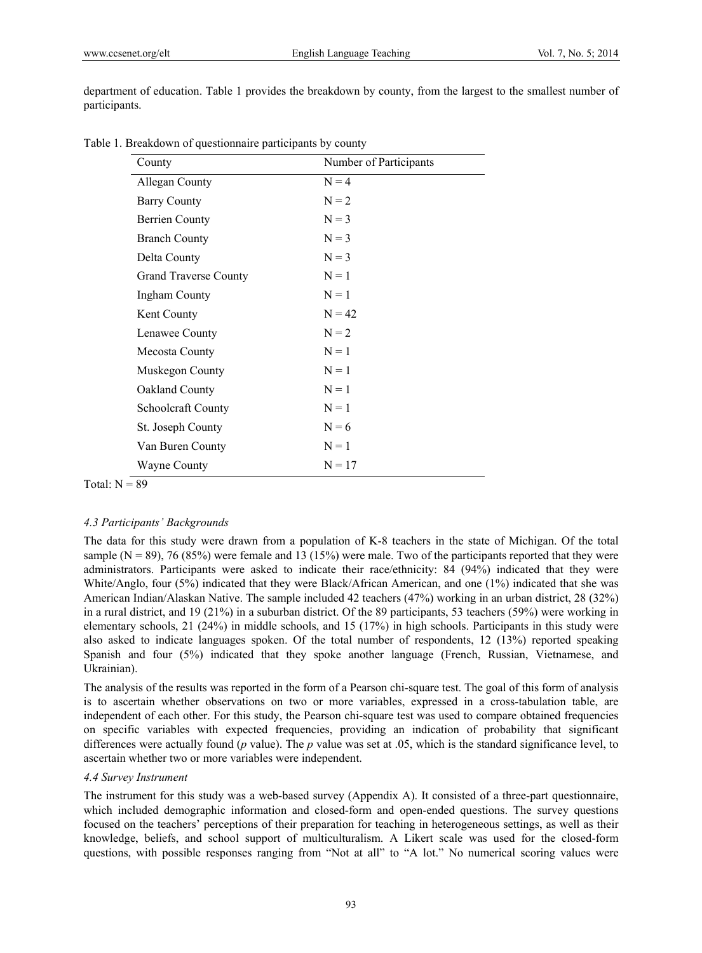department of education. Table 1 provides the breakdown by county, from the largest to the smallest number of participants.

| County                       | Number of Participants |
|------------------------------|------------------------|
| Allegan County               | $N = 4$                |
| <b>Barry County</b>          | $N = 2$                |
| <b>Berrien County</b>        | $N = 3$                |
| <b>Branch County</b>         | $N = 3$                |
| Delta County                 | $N = 3$                |
| <b>Grand Traverse County</b> | $N = 1$                |
| <b>Ingham County</b>         | $N = 1$                |
| Kent County                  | $N = 42$               |
| Lenawee County               | $N = 2$                |
| Mecosta County               | $N = 1$                |
| Muskegon County              | $N = 1$                |
| Oakland County               | $N = 1$                |
| <b>Schoolcraft County</b>    | $N = 1$                |
| St. Joseph County            | $N = 6$                |
| Van Buren County             | $N = 1$                |
| Wayne County                 | $N = 17$               |

Table 1. Breakdown of questionnaire participants by county

Total:  $N = 89$ 

#### *4.3 Participants' Backgrounds*

The data for this study were drawn from a population of K-8 teachers in the state of Michigan. Of the total sample ( $N = 89$ ), 76 (85%) were female and 13 (15%) were male. Two of the participants reported that they were administrators. Participants were asked to indicate their race/ethnicity: 84 (94%) indicated that they were White/Anglo, four (5%) indicated that they were Black/African American, and one (1%) indicated that she was American Indian/Alaskan Native. The sample included 42 teachers (47%) working in an urban district, 28 (32%) in a rural district, and 19 (21%) in a suburban district. Of the 89 participants, 53 teachers (59%) were working in elementary schools, 21 (24%) in middle schools, and 15 (17%) in high schools. Participants in this study were also asked to indicate languages spoken. Of the total number of respondents, 12 (13%) reported speaking Spanish and four (5%) indicated that they spoke another language (French, Russian, Vietnamese, and Ukrainian).

The analysis of the results was reported in the form of a Pearson chi-square test. The goal of this form of analysis is to ascertain whether observations on two or more variables, expressed in a cross-tabulation table, are independent of each other. For this study, the Pearson chi-square test was used to compare obtained frequencies on specific variables with expected frequencies, providing an indication of probability that significant differences were actually found (*p* value). The *p* value was set at .05, which is the standard significance level, to ascertain whether two or more variables were independent.

#### *4.4 Survey Instrument*

The instrument for this study was a web-based survey (Appendix A). It consisted of a three-part questionnaire, which included demographic information and closed-form and open-ended questions. The survey questions focused on the teachers' perceptions of their preparation for teaching in heterogeneous settings, as well as their knowledge, beliefs, and school support of multiculturalism. A Likert scale was used for the closed-form questions, with possible responses ranging from "Not at all" to "A lot." No numerical scoring values were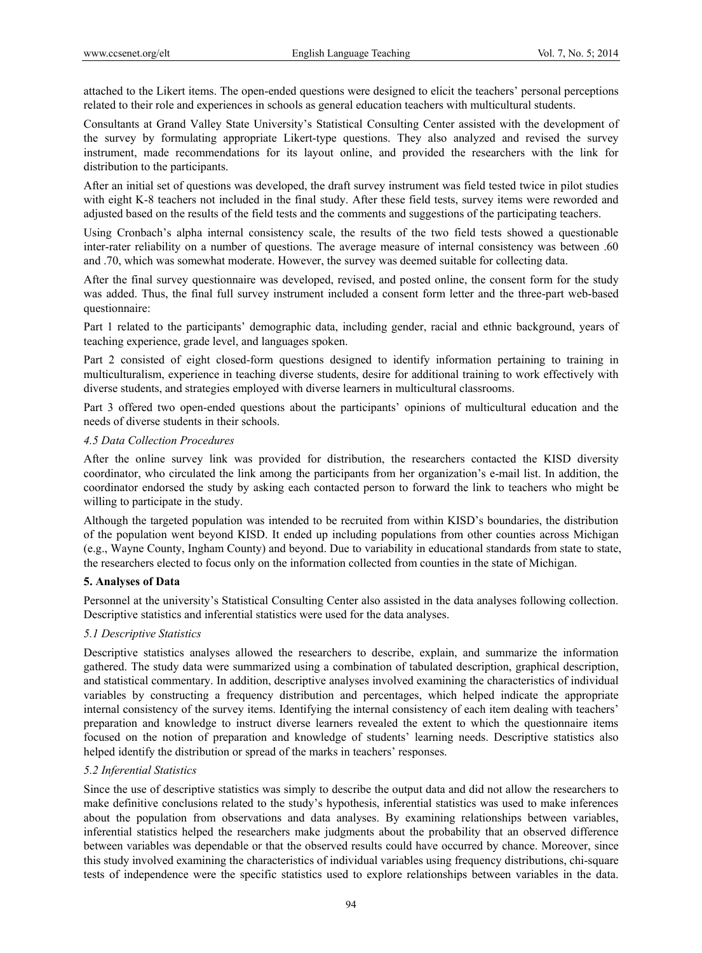attached to the Likert items. The open-ended questions were designed to elicit the teachers' personal perceptions related to their role and experiences in schools as general education teachers with multicultural students.

Consultants at Grand Valley State University's Statistical Consulting Center assisted with the development of the survey by formulating appropriate Likert-type questions. They also analyzed and revised the survey instrument, made recommendations for its layout online, and provided the researchers with the link for distribution to the participants.

After an initial set of questions was developed, the draft survey instrument was field tested twice in pilot studies with eight K-8 teachers not included in the final study. After these field tests, survey items were reworded and adjusted based on the results of the field tests and the comments and suggestions of the participating teachers.

Using Cronbach's alpha internal consistency scale, the results of the two field tests showed a questionable inter-rater reliability on a number of questions. The average measure of internal consistency was between .60 and .70, which was somewhat moderate. However, the survey was deemed suitable for collecting data.

After the final survey questionnaire was developed, revised, and posted online, the consent form for the study was added. Thus, the final full survey instrument included a consent form letter and the three-part web-based questionnaire:

Part 1 related to the participants' demographic data, including gender, racial and ethnic background, years of teaching experience, grade level, and languages spoken.

Part 2 consisted of eight closed-form questions designed to identify information pertaining to training in multiculturalism, experience in teaching diverse students, desire for additional training to work effectively with diverse students, and strategies employed with diverse learners in multicultural classrooms.

Part 3 offered two open-ended questions about the participants' opinions of multicultural education and the needs of diverse students in their schools.

# *4.5 Data Collection Procedures*

After the online survey link was provided for distribution, the researchers contacted the KISD diversity coordinator, who circulated the link among the participants from her organization's e-mail list. In addition, the coordinator endorsed the study by asking each contacted person to forward the link to teachers who might be willing to participate in the study.

Although the targeted population was intended to be recruited from within KISD's boundaries, the distribution of the population went beyond KISD. It ended up including populations from other counties across Michigan (e.g., Wayne County, Ingham County) and beyond. Due to variability in educational standards from state to state, the researchers elected to focus only on the information collected from counties in the state of Michigan.

## **5. Analyses of Data**

Personnel at the university's Statistical Consulting Center also assisted in the data analyses following collection. Descriptive statistics and inferential statistics were used for the data analyses.

# *5.1 Descriptive Statistics*

Descriptive statistics analyses allowed the researchers to describe, explain, and summarize the information gathered. The study data were summarized using a combination of tabulated description, graphical description, and statistical commentary. In addition, descriptive analyses involved examining the characteristics of individual variables by constructing a frequency distribution and percentages, which helped indicate the appropriate internal consistency of the survey items. Identifying the internal consistency of each item dealing with teachers' preparation and knowledge to instruct diverse learners revealed the extent to which the questionnaire items focused on the notion of preparation and knowledge of students' learning needs. Descriptive statistics also helped identify the distribution or spread of the marks in teachers' responses.

## *5.2 Inferential Statistics*

Since the use of descriptive statistics was simply to describe the output data and did not allow the researchers to make definitive conclusions related to the study's hypothesis, inferential statistics was used to make inferences about the population from observations and data analyses. By examining relationships between variables, inferential statistics helped the researchers make judgments about the probability that an observed difference between variables was dependable or that the observed results could have occurred by chance. Moreover, since this study involved examining the characteristics of individual variables using frequency distributions, chi-square tests of independence were the specific statistics used to explore relationships between variables in the data.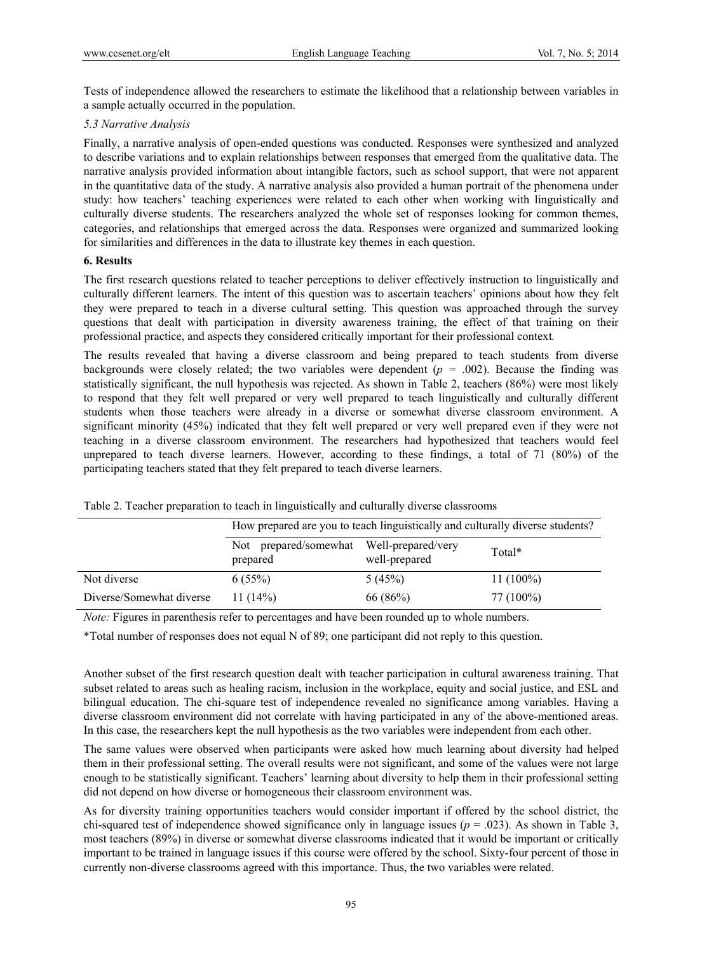Tests of independence allowed the researchers to estimate the likelihood that a relationship between variables in a sample actually occurred in the population.

#### *5.3 Narrative Analysis*

Finally, a narrative analysis of open-ended questions was conducted. Responses were synthesized and analyzed to describe variations and to explain relationships between responses that emerged from the qualitative data. The narrative analysis provided information about intangible factors, such as school support, that were not apparent in the quantitative data of the study. A narrative analysis also provided a human portrait of the phenomena under study: how teachers' teaching experiences were related to each other when working with linguistically and culturally diverse students. The researchers analyzed the whole set of responses looking for common themes, categories, and relationships that emerged across the data. Responses were organized and summarized looking for similarities and differences in the data to illustrate key themes in each question.

#### **6. Results**

The first research questions related to teacher perceptions to deliver effectively instruction to linguistically and culturally different learners. The intent of this question was to ascertain teachers' opinions about how they felt they were prepared to teach in a diverse cultural setting. This question was approached through the survey questions that dealt with participation in diversity awareness training, the effect of that training on their professional practice, and aspects they considered critically important for their professional context*.*

The results revealed that having a diverse classroom and being prepared to teach students from diverse backgrounds were closely related; the two variables were dependent (*p =* .002). Because the finding was statistically significant, the null hypothesis was rejected. As shown in Table 2, teachers (86%) were most likely to respond that they felt well prepared or very well prepared to teach linguistically and culturally different students when those teachers were already in a diverse or somewhat diverse classroom environment. A significant minority (45%) indicated that they felt well prepared or very well prepared even if they were not teaching in a diverse classroom environment. The researchers had hypothesized that teachers would feel unprepared to teach diverse learners. However, according to these findings, a total of 71 (80%) of the participating teachers stated that they felt prepared to teach diverse learners.

|                          | How prepared are you to teach linguistically and culturally diverse students? |                                     |              |  |
|--------------------------|-------------------------------------------------------------------------------|-------------------------------------|--------------|--|
|                          | Not prepared/somewhat<br>prepared                                             | Well-prepared/very<br>well-prepared | Total*       |  |
| Not diverse              | 6(55%)                                                                        | 5(45%)                              | 11 $(100\%)$ |  |
| Diverse/Somewhat diverse | 11 $(14%)$                                                                    | 66(86%)                             | 77 (100%)    |  |

Table 2. Teacher preparation to teach in linguistically and culturally diverse classrooms

*Note:* Figures in parenthesis refer to percentages and have been rounded up to whole numbers.

\*Total number of responses does not equal N of 89; one participant did not reply to this question.

Another subset of the first research question dealt with teacher participation in cultural awareness training. That subset related to areas such as healing racism, inclusion in the workplace, equity and social justice, and ESL and bilingual education. The chi-square test of independence revealed no significance among variables. Having a diverse classroom environment did not correlate with having participated in any of the above-mentioned areas. In this case, the researchers kept the null hypothesis as the two variables were independent from each other.

The same values were observed when participants were asked how much learning about diversity had helped them in their professional setting. The overall results were not significant, and some of the values were not large enough to be statistically significant. Teachers' learning about diversity to help them in their professional setting did not depend on how diverse or homogeneous their classroom environment was.

As for diversity training opportunities teachers would consider important if offered by the school district, the chi-squared test of independence showed significance only in language issues ( $p = .023$ ). As shown in Table 3, most teachers (89%) in diverse or somewhat diverse classrooms indicated that it would be important or critically important to be trained in language issues if this course were offered by the school. Sixty-four percent of those in currently non-diverse classrooms agreed with this importance. Thus, the two variables were related.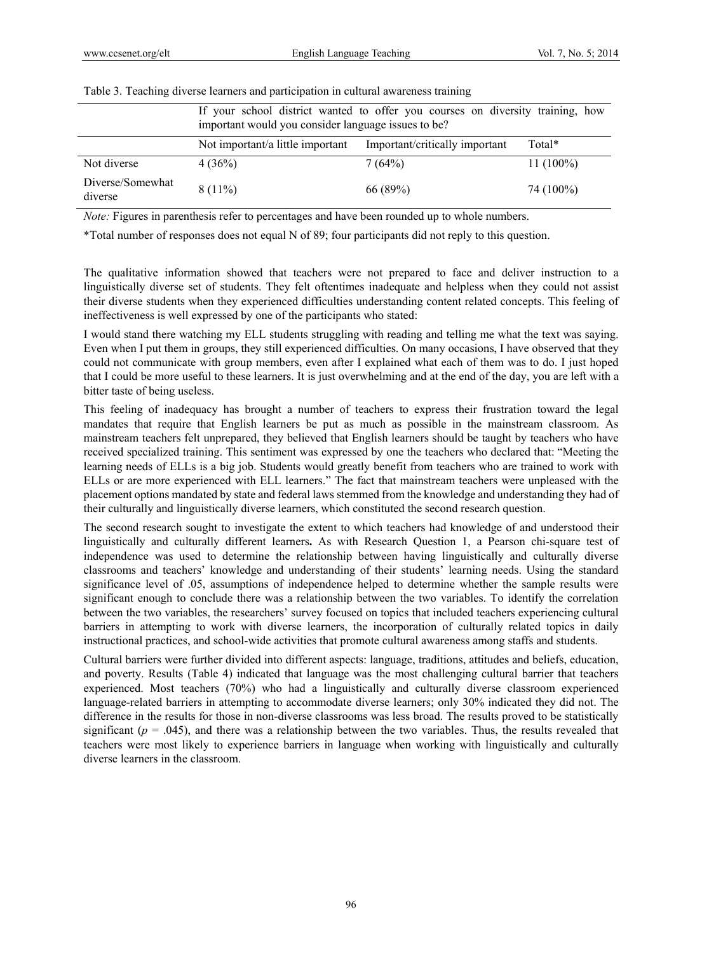|                             | If your school district wanted to offer you courses on diversity training, how<br>important would you consider language issues to be? |                                |              |  |
|-----------------------------|---------------------------------------------------------------------------------------------------------------------------------------|--------------------------------|--------------|--|
|                             | Not important/a little important                                                                                                      | Important/critically important | Total*       |  |
| Not diverse                 | 4(36%)                                                                                                                                | 7(64%)                         | 11 $(100\%)$ |  |
| Diverse/Somewhat<br>diverse | $8(11\%)$                                                                                                                             | 66(89%)                        | 74 (100%)    |  |

#### Table 3. Teaching diverse learners and participation in cultural awareness training

*Note:* Figures in parenthesis refer to percentages and have been rounded up to whole numbers.

\*Total number of responses does not equal N of 89; four participants did not reply to this question.

The qualitative information showed that teachers were not prepared to face and deliver instruction to a linguistically diverse set of students. They felt oftentimes inadequate and helpless when they could not assist their diverse students when they experienced difficulties understanding content related concepts. This feeling of ineffectiveness is well expressed by one of the participants who stated:

I would stand there watching my ELL students struggling with reading and telling me what the text was saying. Even when I put them in groups, they still experienced difficulties. On many occasions, I have observed that they could not communicate with group members, even after I explained what each of them was to do. I just hoped that I could be more useful to these learners. It is just overwhelming and at the end of the day, you are left with a bitter taste of being useless.

This feeling of inadequacy has brought a number of teachers to express their frustration toward the legal mandates that require that English learners be put as much as possible in the mainstream classroom. As mainstream teachers felt unprepared, they believed that English learners should be taught by teachers who have received specialized training. This sentiment was expressed by one the teachers who declared that: "Meeting the learning needs of ELLs is a big job. Students would greatly benefit from teachers who are trained to work with ELLs or are more experienced with ELL learners." The fact that mainstream teachers were unpleased with the placement options mandated by state and federal laws stemmed from the knowledge and understanding they had of their culturally and linguistically diverse learners, which constituted the second research question.

The second research sought to investigate the extent to which teachers had knowledge of and understood their linguistically and culturally different learners**.** As with Research Question 1, a Pearson chi-square test of independence was used to determine the relationship between having linguistically and culturally diverse classrooms and teachers' knowledge and understanding of their students' learning needs. Using the standard significance level of .05, assumptions of independence helped to determine whether the sample results were significant enough to conclude there was a relationship between the two variables. To identify the correlation between the two variables, the researchers' survey focused on topics that included teachers experiencing cultural barriers in attempting to work with diverse learners, the incorporation of culturally related topics in daily instructional practices, and school-wide activities that promote cultural awareness among staffs and students.

Cultural barriers were further divided into different aspects: language, traditions, attitudes and beliefs, education, and poverty. Results (Table 4) indicated that language was the most challenging cultural barrier that teachers experienced. Most teachers (70%) who had a linguistically and culturally diverse classroom experienced language-related barriers in attempting to accommodate diverse learners; only 30% indicated they did not. The difference in the results for those in non-diverse classrooms was less broad. The results proved to be statistically significant  $(p = .045)$ , and there was a relationship between the two variables. Thus, the results revealed that teachers were most likely to experience barriers in language when working with linguistically and culturally diverse learners in the classroom.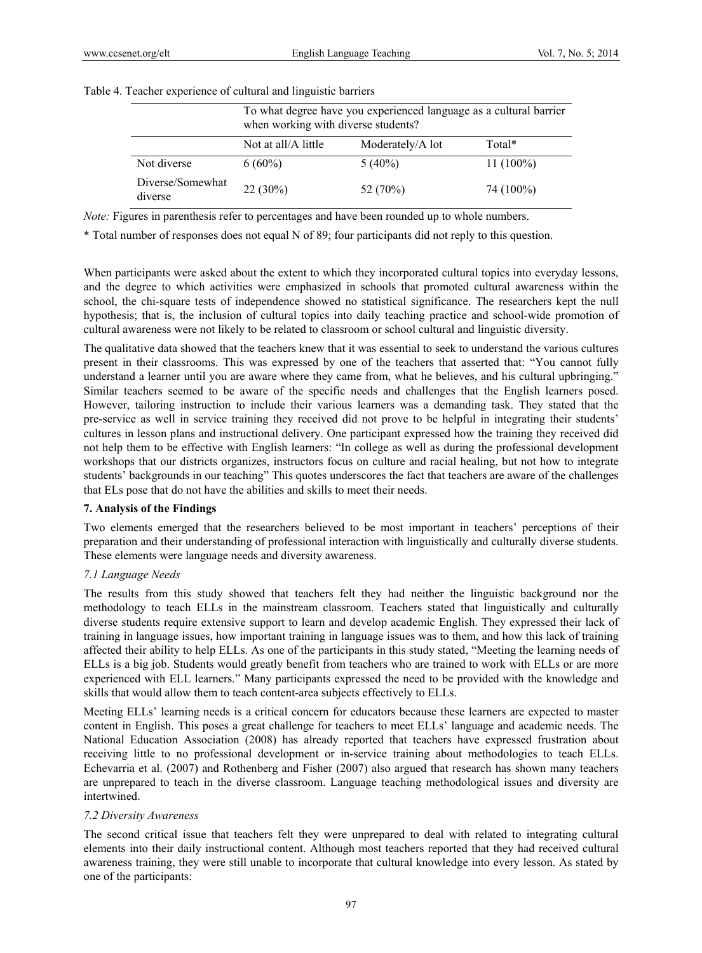#### Table 4. Teacher experience of cultural and linguistic barriers

|                             | To what degree have you experienced language as a cultural barrier<br>when working with diverse students? |                  |             |  |
|-----------------------------|-----------------------------------------------------------------------------------------------------------|------------------|-------------|--|
|                             | Not at all/A little                                                                                       | Moderately/A lot | Total*      |  |
| Not diverse                 | $6(60\%)$                                                                                                 | $5(40\%)$        | $11(100\%)$ |  |
| Diverse/Somewhat<br>diverse | $22(30\%)$                                                                                                | 52 (70%)         | 74 (100%)   |  |

*Note:* Figures in parenthesis refer to percentages and have been rounded up to whole numbers.

\* Total number of responses does not equal N of 89; four participants did not reply to this question.

When participants were asked about the extent to which they incorporated cultural topics into everyday lessons, and the degree to which activities were emphasized in schools that promoted cultural awareness within the school, the chi-square tests of independence showed no statistical significance. The researchers kept the null hypothesis; that is, the inclusion of cultural topics into daily teaching practice and school-wide promotion of cultural awareness were not likely to be related to classroom or school cultural and linguistic diversity.

The qualitative data showed that the teachers knew that it was essential to seek to understand the various cultures present in their classrooms. This was expressed by one of the teachers that asserted that: "You cannot fully understand a learner until you are aware where they came from, what he believes, and his cultural upbringing." Similar teachers seemed to be aware of the specific needs and challenges that the English learners posed. However, tailoring instruction to include their various learners was a demanding task. They stated that the pre-service as well in service training they received did not prove to be helpful in integrating their students' cultures in lesson plans and instructional delivery. One participant expressed how the training they received did not help them to be effective with English learners: "In college as well as during the professional development workshops that our districts organizes, instructors focus on culture and racial healing, but not how to integrate students' backgrounds in our teaching" This quotes underscores the fact that teachers are aware of the challenges that ELs pose that do not have the abilities and skills to meet their needs.

#### **7. Analysis of the Findings**

Two elements emerged that the researchers believed to be most important in teachers' perceptions of their preparation and their understanding of professional interaction with linguistically and culturally diverse students. These elements were language needs and diversity awareness.

#### *7.1 Language Needs*

The results from this study showed that teachers felt they had neither the linguistic background nor the methodology to teach ELLs in the mainstream classroom. Teachers stated that linguistically and culturally diverse students require extensive support to learn and develop academic English. They expressed their lack of training in language issues, how important training in language issues was to them, and how this lack of training affected their ability to help ELLs. As one of the participants in this study stated, "Meeting the learning needs of ELLs is a big job. Students would greatly benefit from teachers who are trained to work with ELLs or are more experienced with ELL learners." Many participants expressed the need to be provided with the knowledge and skills that would allow them to teach content-area subjects effectively to ELLs.

Meeting ELLs' learning needs is a critical concern for educators because these learners are expected to master content in English. This poses a great challenge for teachers to meet ELLs' language and academic needs. The National Education Association (2008) has already reported that teachers have expressed frustration about receiving little to no professional development or in-service training about methodologies to teach ELLs. Echevarria et al. (2007) and Rothenberg and Fisher (2007) also argued that research has shown many teachers are unprepared to teach in the diverse classroom. Language teaching methodological issues and diversity are intertwined.

## *7.2 Diversity Awareness*

The second critical issue that teachers felt they were unprepared to deal with related to integrating cultural elements into their daily instructional content. Although most teachers reported that they had received cultural awareness training, they were still unable to incorporate that cultural knowledge into every lesson. As stated by one of the participants: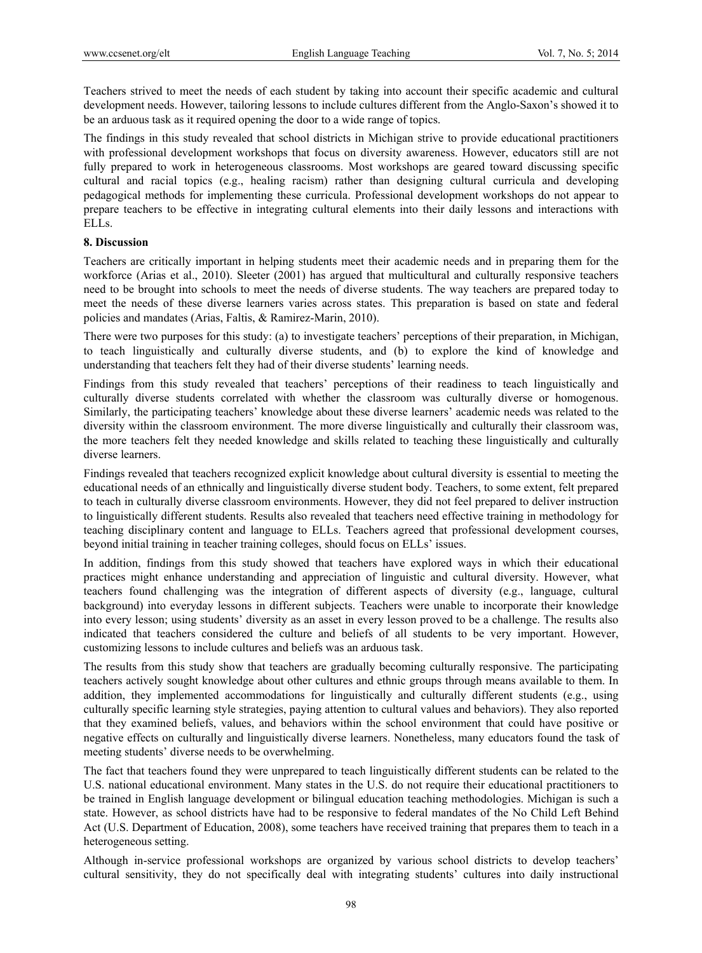Teachers strived to meet the needs of each student by taking into account their specific academic and cultural development needs. However, tailoring lessons to include cultures different from the Anglo-Saxon's showed it to be an arduous task as it required opening the door to a wide range of topics.

The findings in this study revealed that school districts in Michigan strive to provide educational practitioners with professional development workshops that focus on diversity awareness. However, educators still are not fully prepared to work in heterogeneous classrooms. Most workshops are geared toward discussing specific cultural and racial topics (e.g., healing racism) rather than designing cultural curricula and developing pedagogical methods for implementing these curricula. Professional development workshops do not appear to prepare teachers to be effective in integrating cultural elements into their daily lessons and interactions with ELL<sub>s</sub>

## **8. Discussion**

Teachers are critically important in helping students meet their academic needs and in preparing them for the workforce (Arias et al., 2010). Sleeter (2001) has argued that multicultural and culturally responsive teachers need to be brought into schools to meet the needs of diverse students. The way teachers are prepared today to meet the needs of these diverse learners varies across states. This preparation is based on state and federal policies and mandates (Arias, Faltis, & Ramirez-Marin, 2010).

There were two purposes for this study: (a) to investigate teachers' perceptions of their preparation, in Michigan, to teach linguistically and culturally diverse students, and (b) to explore the kind of knowledge and understanding that teachers felt they had of their diverse students' learning needs.

Findings from this study revealed that teachers' perceptions of their readiness to teach linguistically and culturally diverse students correlated with whether the classroom was culturally diverse or homogenous. Similarly, the participating teachers' knowledge about these diverse learners' academic needs was related to the diversity within the classroom environment. The more diverse linguistically and culturally their classroom was, the more teachers felt they needed knowledge and skills related to teaching these linguistically and culturally diverse learners.

Findings revealed that teachers recognized explicit knowledge about cultural diversity is essential to meeting the educational needs of an ethnically and linguistically diverse student body. Teachers, to some extent, felt prepared to teach in culturally diverse classroom environments. However, they did not feel prepared to deliver instruction to linguistically different students. Results also revealed that teachers need effective training in methodology for teaching disciplinary content and language to ELLs. Teachers agreed that professional development courses, beyond initial training in teacher training colleges, should focus on ELLs' issues.

In addition, findings from this study showed that teachers have explored ways in which their educational practices might enhance understanding and appreciation of linguistic and cultural diversity. However, what teachers found challenging was the integration of different aspects of diversity (e.g., language, cultural background) into everyday lessons in different subjects. Teachers were unable to incorporate their knowledge into every lesson; using students' diversity as an asset in every lesson proved to be a challenge. The results also indicated that teachers considered the culture and beliefs of all students to be very important. However, customizing lessons to include cultures and beliefs was an arduous task.

The results from this study show that teachers are gradually becoming culturally responsive. The participating teachers actively sought knowledge about other cultures and ethnic groups through means available to them. In addition, they implemented accommodations for linguistically and culturally different students (e.g., using culturally specific learning style strategies, paying attention to cultural values and behaviors). They also reported that they examined beliefs, values, and behaviors within the school environment that could have positive or negative effects on culturally and linguistically diverse learners. Nonetheless, many educators found the task of meeting students' diverse needs to be overwhelming.

The fact that teachers found they were unprepared to teach linguistically different students can be related to the U.S. national educational environment. Many states in the U.S. do not require their educational practitioners to be trained in English language development or bilingual education teaching methodologies. Michigan is such a state. However, as school districts have had to be responsive to federal mandates of the No Child Left Behind Act (U.S. Department of Education, 2008), some teachers have received training that prepares them to teach in a heterogeneous setting.

Although in-service professional workshops are organized by various school districts to develop teachers' cultural sensitivity, they do not specifically deal with integrating students' cultures into daily instructional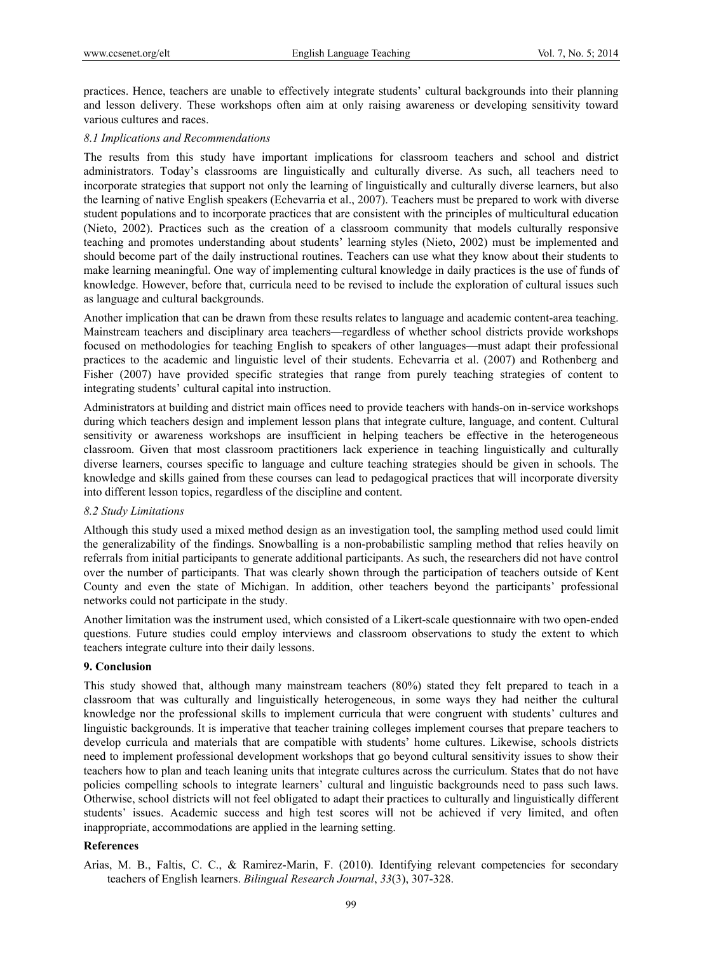practices. Hence, teachers are unable to effectively integrate students' cultural backgrounds into their planning and lesson delivery. These workshops often aim at only raising awareness or developing sensitivity toward various cultures and races.

#### *8.1 Implications and Recommendations*

The results from this study have important implications for classroom teachers and school and district administrators. Today's classrooms are linguistically and culturally diverse. As such, all teachers need to incorporate strategies that support not only the learning of linguistically and culturally diverse learners, but also the learning of native English speakers (Echevarria et al., 2007). Teachers must be prepared to work with diverse student populations and to incorporate practices that are consistent with the principles of multicultural education (Nieto, 2002). Practices such as the creation of a classroom community that models culturally responsive teaching and promotes understanding about students' learning styles (Nieto, 2002) must be implemented and should become part of the daily instructional routines. Teachers can use what they know about their students to make learning meaningful. One way of implementing cultural knowledge in daily practices is the use of funds of knowledge. However, before that, curricula need to be revised to include the exploration of cultural issues such as language and cultural backgrounds.

Another implication that can be drawn from these results relates to language and academic content-area teaching. Mainstream teachers and disciplinary area teachers—regardless of whether school districts provide workshops focused on methodologies for teaching English to speakers of other languages—must adapt their professional practices to the academic and linguistic level of their students. Echevarria et al. (2007) and Rothenberg and Fisher (2007) have provided specific strategies that range from purely teaching strategies of content to integrating students' cultural capital into instruction.

Administrators at building and district main offices need to provide teachers with hands-on in-service workshops during which teachers design and implement lesson plans that integrate culture, language, and content. Cultural sensitivity or awareness workshops are insufficient in helping teachers be effective in the heterogeneous classroom. Given that most classroom practitioners lack experience in teaching linguistically and culturally diverse learners, courses specific to language and culture teaching strategies should be given in schools. The knowledge and skills gained from these courses can lead to pedagogical practices that will incorporate diversity into different lesson topics, regardless of the discipline and content.

## *8.2 Study Limitations*

Although this study used a mixed method design as an investigation tool, the sampling method used could limit the generalizability of the findings. Snowballing is a non-probabilistic sampling method that relies heavily on referrals from initial participants to generate additional participants. As such, the researchers did not have control over the number of participants. That was clearly shown through the participation of teachers outside of Kent County and even the state of Michigan. In addition, other teachers beyond the participants' professional networks could not participate in the study.

Another limitation was the instrument used, which consisted of a Likert-scale questionnaire with two open-ended questions. Future studies could employ interviews and classroom observations to study the extent to which teachers integrate culture into their daily lessons.

#### **9. Conclusion**

This study showed that, although many mainstream teachers (80%) stated they felt prepared to teach in a classroom that was culturally and linguistically heterogeneous, in some ways they had neither the cultural knowledge nor the professional skills to implement curricula that were congruent with students' cultures and linguistic backgrounds. It is imperative that teacher training colleges implement courses that prepare teachers to develop curricula and materials that are compatible with students' home cultures. Likewise, schools districts need to implement professional development workshops that go beyond cultural sensitivity issues to show their teachers how to plan and teach leaning units that integrate cultures across the curriculum. States that do not have policies compelling schools to integrate learners' cultural and linguistic backgrounds need to pass such laws. Otherwise, school districts will not feel obligated to adapt their practices to culturally and linguistically different students' issues. Academic success and high test scores will not be achieved if very limited, and often inappropriate, accommodations are applied in the learning setting.

#### **References**

Arias, M. B., Faltis, C. C., & Ramirez-Marin, F. (2010). Identifying relevant competencies for secondary teachers of English learners. *Bilingual Research Journal*, *33*(3), 307-328.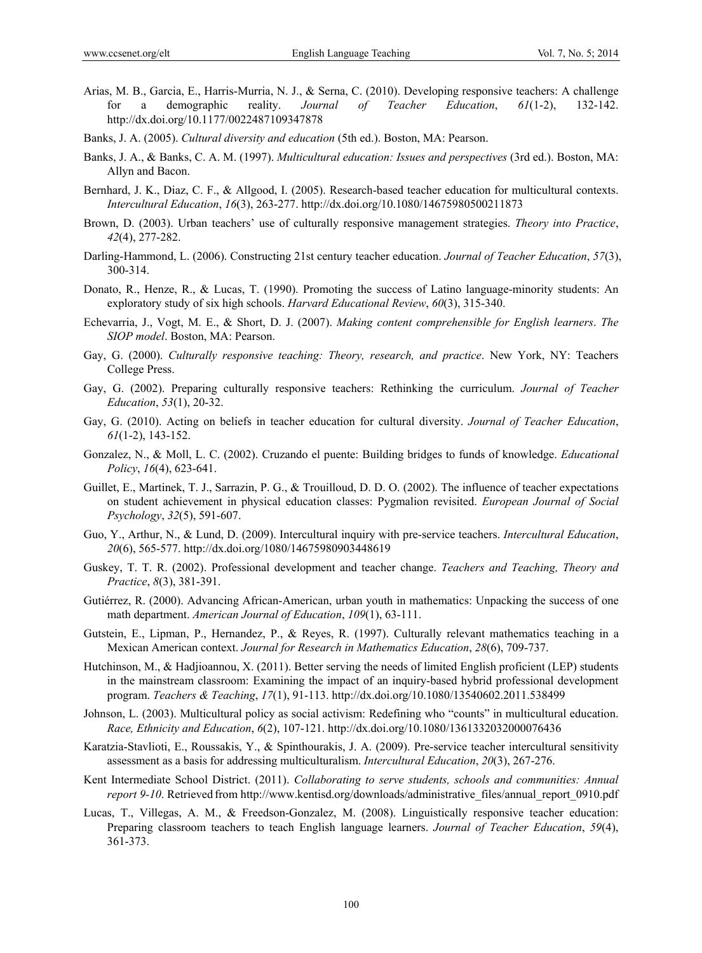- Arias, M. B., Garcia, E., Harris-Murria, N. J., & Serna, C. (2010). Developing responsive teachers: A challenge for a demographic reality. *Journal of Teacher Education*, *61*(1-2), 132-142. http://dx.doi.org/10.1177/0022487109347878
- Banks, J. A. (2005). *Cultural diversity and education* (5th ed.). Boston, MA: Pearson.
- Banks, J. A., & Banks, C. A. M. (1997). *Multicultural education: Issues and perspectives* (3rd ed.). Boston, MA: Allyn and Bacon.
- Bernhard, J. K., Diaz, C. F., & Allgood, I. (2005). Research-based teacher education for multicultural contexts. *Intercultural Education*, *16*(3), 263-277. http://dx.doi.org/10.1080/14675980500211873
- Brown, D. (2003). Urban teachers' use of culturally responsive management strategies. *Theory into Practice*, *42*(4), 277-282.
- Darling-Hammond, L. (2006). Constructing 21st century teacher education. *Journal of Teacher Education*, *57*(3), 300-314.
- Donato, R., Henze, R., & Lucas, T. (1990). Promoting the success of Latino language-minority students: An exploratory study of six high schools. *Harvard Educational Review*, *60*(3), 315-340.
- Echevarria, J., Vogt, M. E., & Short, D. J. (2007). *Making content comprehensible for English learners*. *The SIOP model*. Boston, MA: Pearson.
- Gay, G. (2000). *Culturally responsive teaching: Theory, research, and practice*. New York, NY: Teachers College Press.
- Gay, G. (2002). Preparing culturally responsive teachers: Rethinking the curriculum. *Journal of Teacher Education*, *53*(1), 20-32.
- Gay, G. (2010). Acting on beliefs in teacher education for cultural diversity. *Journal of Teacher Education*, *61*(1-2), 143-152.
- Gonzalez, N., & Moll, L. C. (2002). Cruzando el puente: Building bridges to funds of knowledge. *Educational Policy*, *16*(4), 623-641.
- Guillet, E., Martinek, T. J., Sarrazin, P. G., & Trouilloud, D. D. O. (2002). The influence of teacher expectations on student achievement in physical education classes: Pygmalion revisited. *European Journal of Social Psychology*, *32*(5), 591-607.
- Guo, Y., Arthur, N., & Lund, D. (2009). Intercultural inquiry with pre-service teachers. *Intercultural Education*, *20*(6), 565-577. http://dx.doi.org/1080/14675980903448619
- Guskey, T. T. R. (2002). Professional development and teacher change. *Teachers and Teaching, Theory and Practice*, *8*(3), 381-391.
- Gutiérrez, R. (2000). Advancing African-American, urban youth in mathematics: Unpacking the success of one math department. *American Journal of Education*, *109*(1), 63-111.
- Gutstein, E., Lipman, P., Hernandez, P., & Reyes, R. (1997). Culturally relevant mathematics teaching in a Mexican American context. *Journal for Research in Mathematics Education*, *28*(6), 709-737.
- Hutchinson, M., & Hadjioannou, X. (2011). Better serving the needs of limited English proficient (LEP) students in the mainstream classroom: Examining the impact of an inquiry-based hybrid professional development program. *Teachers & Teaching*, *17*(1), 91-113. http://dx.doi.org/10.1080/13540602.2011.538499
- Johnson, L. (2003). Multicultural policy as social activism: Redefining who "counts" in multicultural education. *Race, Ethnicity and Education*, *6*(2), 107-121. http://dx.doi.org/10.1080/1361332032000076436
- Karatzia-Stavlioti, E., Roussakis, Y., & Spinthourakis, J. A. (2009). Pre-service teacher intercultural sensitivity assessment as a basis for addressing multiculturalism. *Intercultural Education*, *20*(3), 267-276.
- Kent Intermediate School District. (2011). *Collaborating to serve students, schools and communities: Annual report 9-10*. Retrieved from http://www.kentisd.org/downloads/administrative\_files/annual\_report\_0910.pdf
- Lucas, T., Villegas, A. M., & Freedson-Gonzalez, M. (2008). Linguistically responsive teacher education: Preparing classroom teachers to teach English language learners. *Journal of Teacher Education*, *59*(4), 361-373.